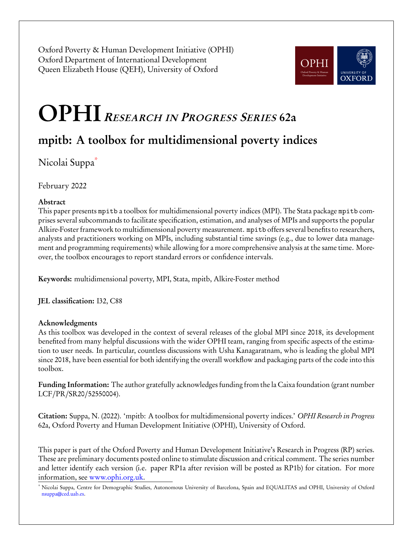Oxford Poverty & Human Development Initiative (OPHI) Oxford Department of International Development Queen Elizabeth House (QEH), University of Oxford



# OPHI <sup>R</sup>ESEARCH IN <sup>P</sup>ROGRESS <sup>S</sup>ERIES 62a

## mpitb: A toolbox for multidimensional poverty indices

Nicolai Suppa[\\*](#page-0-0)

February 2022

## Abstract

This paper presents mpitb a toolbox for multidimensional poverty indices (MPI). The Stata package mpitb comprises several subcommands to facilitate specification, estimation, and analyses of MPIs and supports the popular Alkire-Foster framework to multidimensional poverty measurement. mpitb offers several benefits to researchers, analysts and practitioners working on MPIs, including substantial time savings (e.g., due to lower data management and programming requirements) while allowing for a more comprehensive analysis at the same time. Moreover, the toolbox encourages to report standard errors or confidence intervals.

Keywords: multidimensional poverty, MPI, Stata, mpitb, Alkire-Foster method

JEL classification: I32, C88

## Acknowledgments

As this toolbox was developed in the context of several releases of the global MPI since 2018, its development benefited from many helpful discussions with the wider OPHI team, ranging from specific aspects of the estimation to user needs. In particular, countless discussions with Usha Kanagaratnam, who is leading the global MPI since 2018, have been essential for both identifying the overall workflow and packaging parts of the code into this toolbox.

Funding Information: The author gratefully acknowledges funding from the la Caixa foundation (grant number LCF/PR/SR20/52550004).

Citation: Suppa, N. (2022). 'mpitb: A toolbox for multidimensional poverty indices.' OPHI Research in Progress 62a, Oxford Poverty and Human Development Initiative (OPHI), University of Oxford.

This paper is part of the Oxford Poverty and Human Development Initiative's Research in Progress (RP) series. These are preliminary documents posted online to stimulate discussion and critical comment. The series number and letter identify each version (i.e. paper RP1a after revision will be posted as RP1b) for citation. For more information, see [www.ophi.org.uk.](www.ophi.org.uk)

<span id="page-0-0"></span><sup>\*</sup> Nicolai Suppa, Centre for Demographic Studies, Autonomous University of Barcelona, Spain and EQUALITAS and OPHI, University of Oxford [nsuppa@ced.uab.es.](mailto:nsuppa@ced.uab.es)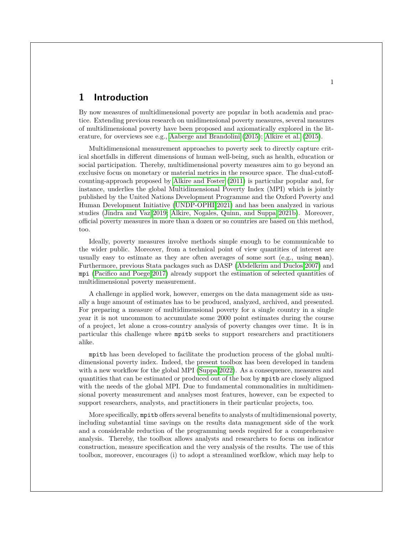## **1 Introduction**

By now measures of multidimensional poverty are popular in both academia and practice. Extending previous research on unidimensional poverty measures, several measures of multidimensional poverty have been proposed and axiomatically explored in the literature, for overviews see e.g., [Aaberge and Brandolini \(2015\)](#page-20-0); [Alkire et al. \(2015\)](#page-21-0).

Multidimensional measurement approaches to poverty seek to directly capture critical shortfalls in different dimensions of human well-being, such as health, education or social participation. Thereby, multidimensional poverty measures aim to go beyond an exclusive focus on monetary or material metrics in the resource space. The dual-cutoffcounting-approach proposed by [Alkire and Foster \(2011\)](#page-21-1) is particular popular and, for instance, underlies the global Multidimensional Poverty Index (MPI) which is jointly published by the United Nations Development Programme and the Oxford Poverty and Human Development Initiative [\(UNDP-OPHI 2021\)](#page-21-2) and has been analyzed in various studies [\(Jindra and Vaz 2019;](#page-21-3) [Alkire, Nogales, Quinn, and Suppa 2021b\)](#page-21-4). Moreover, official poverty measures in more than a dozen or so countries are based on this method, too.

Ideally, poverty measures involve methods simple enough to be communicable to the wider public. Moreover, from a technical point of view quantities of interest are usually easy to estimate as they are often averages of some sort (e.g., using mean). Furthermore, previous Stata packages such as DASP [\(Abdelkrim and Duclos 2007\)](#page-20-1) and mpi [\(Pacifico and Poege 2017\)](#page-21-5) already support the estimation of selected quantities of multidimensional poverty measurement.

A challenge in applied work, however, emerges on the data management side as usually a huge amount of estimates has to be produced, analyzed, archived, and presented. For preparing a measure of multidimensional poverty for a single country in a single year it is not uncommon to accumulate some 2000 point estimates during the course of a project, let alone a cross-country analysis of poverty changes over time. It is in particular this challenge where mpitb seeks to support researchers and practitioners alike.

mpitb has been developed to facilitate the production process of the global multidimensional poverty index. Indeed, the present toolbox has been developed in tandem with a new workflow for the global MPI [\(Suppa 2022\)](#page-21-6). As a consequence, measures and quantities that can be estimated or produced out of the box by mpitb are closely aligned with the needs of the global MPI. Due to fundamental commonalities in multidimensional poverty measurement and analyses most features, however, can be expected to support researchers, analysts, and practitioners in their particular projects, too.

More specifically, mpitb offers several benefits to analysts of multidimensional poverty, including substantial time savings on the results data management side of the work and a considerable reduction of the programming needs required for a comprehensive analysis. Thereby, the toolbox allows analysts and researchers to focus on indicator construction, measure specification and the very analysis of the results. The use of this toolbox, moreover, encourages (i) to adopt a streamlined worfklow, which may help to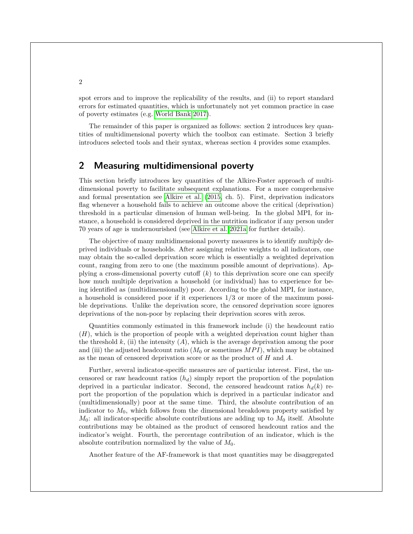spot errors and to improve the replicability of the results, and (ii) to report standard errors for estimated quantities, which is unfortunately not yet common practice in case of poverty estimates (e.g. [World Bank 2017\)](#page-21-7).

The remainder of this paper is organized as follows: section 2 introduces key quantities of multidimensional poverty which the toolbox can estimate. Section 3 briefly introduces selected tools and their syntax, whereas section 4 provides some examples.

## **2 Measuring multidimensional poverty**

This section briefly introduces key quantities of the Alkire-Foster approach of multidimensional poverty to facilitate subsequent explanations. For a more comprehensive and formal presentation see [Alkire et al. \(2015,](#page-21-0) ch. 5). First, deprivation indicators flag whenever a household fails to achieve an outcome above the critical (deprivation) threshold in a particular dimension of human well-being. In the global MPI, for instance, a household is considered deprived in the nutrition indicator if any person under 70 years of age is undernourished (see [Alkire et al. 2021a](#page-21-8) for further details).

The objective of many multidimensional poverty measures is to identify multiply deprived individuals or households. After assigning relative weights to all indicators, one may obtain the so-called deprivation score which is essentially a weighted deprivation count, ranging from zero to one (the maximum possible amount of deprivations). Applying a cross-dimensional poverty cutoff  $(k)$  to this deprivation score one can specify how much multiple deprivation a household (or individual) has to experience for being identified as (multidimensionally) poor. According to the global MPI, for instance, a household is considered poor if it experiences 1/3 or more of the maximum possible deprivations. Unlike the deprivation score, the censored deprivation score ignores deprivations of the non-poor by replacing their deprivation scores with zeros.

Quantities commonly estimated in this framework include (i) the headcount ratio (H), which is the proportion of people with a weighted deprivation count higher than the threshold k, (ii) the intensity  $(A)$ , which is the average deprivation among the poor and (iii) the adjusted headcount ratio  $(M_0 \text{ or sometimes } MPI)$ , which may be obtained as the mean of censored deprivation score or as the product of  $H$  and  $A$ .

Further, several indicator-specific measures are of particular interest. First, the uncensored or raw headcount ratios  $(h_d)$  simply report the proportion of the population deprived in a particular indicator. Second, the censored headcount ratios  $h_d(k)$  report the proportion of the population which is deprived in a particular indicator and (multidimensionally) poor at the same time. Third, the absolute contribution of an indicator to  $M_0$ , which follows from the dimensional breakdown property satisfied by  $M_0$ : all indicator-specific absolute contributions are adding up to  $M_0$  itself. Absolute contributions may be obtained as the product of censored headcount ratios and the indicator's weight. Fourth, the percentage contribution of an indicator, which is the absolute contribution normalized by the value of  $M_0$ .

Another feature of the AF-framework is that most quantities may be disaggregated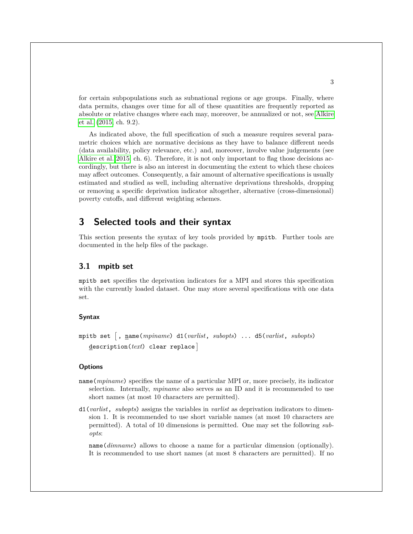for certain subpopulations such as subnational regions or age groups. Finally, where data permits, changes over time for all of these quantities are frequently reported as absolute or relative changes where each may, moreover, be annualized or not, see [Alkire](#page-21-0) [et al. \(2015,](#page-21-0) ch. 9.2).

As indicated above, the full specification of such a measure requires several parametric choices which are normative decisions as they have to balance different needs (data availability, policy relevance, etc.) and, moreover, involve value judgements (see [Alkire et al. 2015,](#page-21-0) ch. 6). Therefore, it is not only important to flag those decisions accordingly, but there is also an interest in documenting the extent to which these choices may affect outcomes. Consequently, a fair amount of alternative specifications is usually estimated and studied as well, including alternative deprivations thresholds, dropping or removing a specific deprivation indicator altogether, alternative (cross-dimensional) poverty cutoffs, and different weighting schemes.

## **3 Selected tools and their syntax**

This section presents the syntax of key tools provided by mpitb. Further tools are documented in the help files of the package.

### **3.1 mpitb set**

mpitb set specifies the deprivation indicators for a MPI and stores this specification with the currently loaded dataset. One may store several specifications with one data set.

#### **Syntax**

```
mpitb set -

, name(mpiname) d1(varlist, subopts) ... d5(varlist, subopts)
  description(text) clear replace
```
#### **Options**

- name(*mpiname*) specifies the name of a particular MPI or, more precisely, its indicator selection. Internally, *mpiname* also serves as an ID and it is recommended to use short names (at most 10 characters are permitted).
- d1(*varlist*, *subopts*) assigns the variables in *varlist* as deprivation indicators to dimension 1. It is recommended to use short variable names (at most 10 characters are permitted). A total of 10 dimensions is permitted. One may set the following *subopts*:

name(*dimname*) allows to choose a name for a particular dimension (optionally). It is recommended to use short names (at most 8 characters are permitted). If no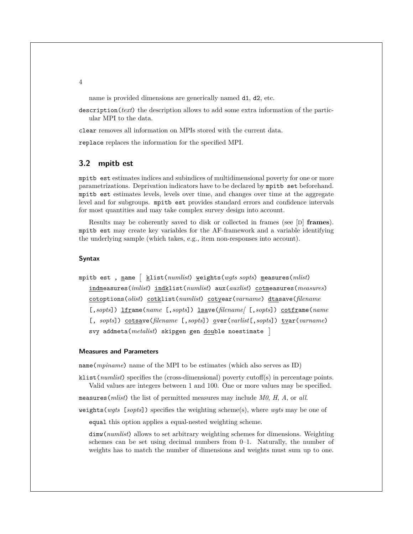name is provided dimensions are generically named d1, d2, etc.

description(*text*) the description allows to add some extra information of the particular MPI to the data.

clear removes all information on MPIs stored with the current data.

replace replaces the information for the specified MPI.

#### **3.2 mpitb est**

mpitb est estimates indices and subindices of multidimensional poverty for one or more parametrizations. Deprivation indicators have to be declared by mpitb set beforehand. mpitb est estimates levels, levels over time, and changes over time at the aggregate level and for subgroups. mpitb est provides standard errors and confidence intervals for most quantities and may take complex survey design into account.

Results may be coherently saved to disk or collected in frames (see [D] **frames**). mpitb est may create key variables for the AF-framework and a variable identifying the underlying sample (which takes, e.g., item non-responses into account).

#### **Syntax**

mpitb est , <u>n</u>ame  $\left[\begin{array}{c}\frac{}{}\underline{k} \texttt{list}(\textit{numlist})\end{array}\right.$  weights(*wgts sopts*) measures(*mlist*) indmeasures(*imlist*) indklist(*numlist*) aux(*auxlist*) cotmeasures(*measures*) cotoptions(*olist*) cotklist(*numlist*) cotyear(*varname*) dtasave(*filename* [,*sopts*]) lframe(*name* [,*sopts*]) lsave(*filename[* [,*sopts*]) cotframe(*name* [, *sopts*]) cotsave(*filename* [,*sopts*]) over(*varlist*[,*sopts*]) tvar(*varname*) svy addmeta(*metalist*) skipgen gen double noestimate

#### **Measures and Parameters**

name(*mpiname*) name of the MPI to be estimates (which also serves as ID)

klist(*numlist*) specifies the (cross-dimensional) poverty cutoff(s) in percentage points. Valid values are integers between 1 and 100. One or more values may be specified.

measures(*mlist*) the list of permitted measures may include *M0*, *H*, *A*, or *all*.

weights(*wgts* [*sopts*]) specifies the weighting scheme(s), where *wgts* may be one of

equal this option applies a equal-nested weighting scheme.

dimw(*numlist*) allows to set arbitrary weighting schemes for dimensions. Weighting schemes can be set using decimal numbers from 0–1. Naturally, the number of weights has to match the number of dimensions and weights must sum up to one.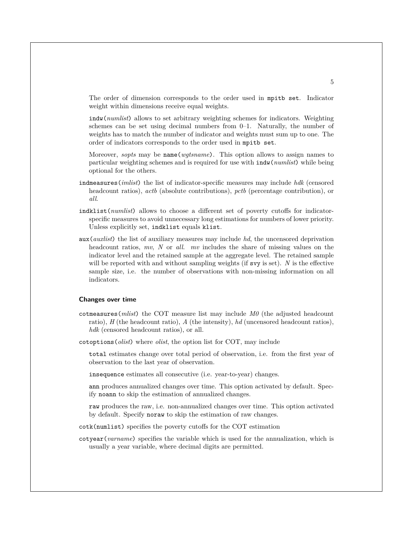The order of dimension corresponds to the order used in mpitb set. Indicator weight within dimensions receive equal weights.

indw(*numlist*) allows to set arbitrary weighting schemes for indicators. Weighting schemes can be set using decimal numbers from  $0-1$ . Naturally, the number of weights has to match the number of indicator and weights must sum up to one. The order of indicators corresponds to the order used in mpitb set.

Moreover, *sopts* may be name(*wgtsname*). This option allows to assign names to particular weighting schemes and is required for use with indw(*numlist*) while being optional for the others.

- indmeasures(*imlist*) the list of indicator-specific measures may include *hdk* (censored headcount ratios), *actb* (absolute contributions), *pctb* (percentage contribution), or *all*.
- indklist(*numlist*) allows to choose a different set of poverty cutoffs for indicatorspecific measures to avoid unnecessary long estimations for numbers of lower priority. Unless explicitly set, indklist equals klist.
- aux(*auxlist*) the list of auxiliary measures may include *hd*, the uncensored deprivation headcount ratios, *mv*, *N* or *all*. *mv* includes the share of missing values on the indicator level and the retained sample at the aggregate level. The retained sample will be reported with and without sampling weights (if svy is set). *N* is the effective sample size, i.e. the number of observations with non-missing information on all indicators.

#### **Changes over time**

- cotmeasures(*mlist*) the COT measure list may include *M0* (the adjusted headcount ratio), *H* (the headcount ratio), *A* (the intensity), *hd* (uncensored headcount ratios), *hdk* (censored headcount ratios), or all.
- cotoptions(*olist*) where *olist*, the option list for COT, may include

total estimates change over total period of observation, i.e. from the first year of observation to the last year of observation.

insequence estimates all consecutive (i.e. year-to-year) changes.

ann produces annualized changes over time. This option activated by default. Specify noann to skip the estimation of annualized changes.

raw produces the raw, i.e. non-annualized changes over time. This option activated by default. Specify noraw to skip the estimation of raw changes.

cotk(numlist) specifies the poverty cutoffs for the COT estimation

cotyear(*varname*) specifies the variable which is used for the annualization, which is usually a year variable, where decimal digits are permitted.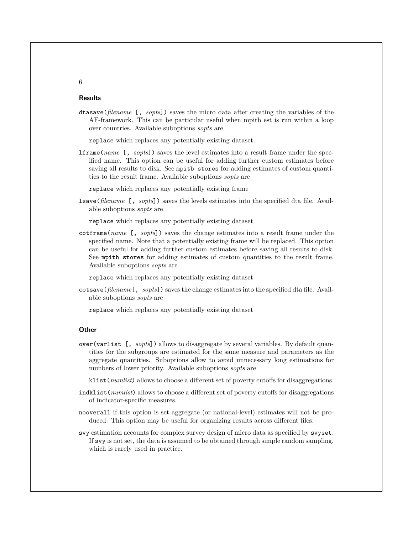#### **Results**

dtasave(*filename* [, *sopts*]) saves the micro data after creating the variables of the AF-framework. This can be particular useful when mpitb est is run within a loop over countries. Available suboptions *sopts* are

replace which replaces any potentially existing dataset.

lframe(*name* [, *sopts*]) saves the level estimates into a result frame under the specified name. This option can be useful for adding further custom estimates before saving all results to disk. See mpitb stores for adding estimates of custom quantities to the result frame. Available suboptions *sopts* are

replace which replaces any potentially existing frame

lsave(*filename* [, *sopts*]) saves the levels estimates into the specified dta file. Available suboptions *sopts* are

replace which replaces any potentially existing dataset

cotframe(*name* [, *sopts*]) saves the change estimates into a result frame under the specified name. Note that a potentially existing frame will be replaced. This option can be useful for adding further custom estimates before saving all results to disk. See mpitb stores for adding estimates of custom quantities to the result frame. Available suboptions *sopts* are

replace which replaces any potentially existing dataset

cotsave(*filename*[, *sopts*]) saves the change estimates into the specified dta file. Available suboptions *sopts* are

replace which replaces any potentially existing dataset

#### **Other**

over(varlist [, *sopts*]) allows to disaggregate by several variables. By default quantities for the subgroups are estimated for the same measure and parameters as the aggregate quantities. Suboptions allow to avoid unnecessary long estimations for numbers of lower priority. Available suboptions *sopts* are

klist(*numlist*) allows to choose a different set of poverty cutoffs for disaggregations.

- indklist(*numlist*) allows to choose a different set of poverty cutoffs for disaggregations of indicator-specific measures.
- nooverall if this option is set aggregate (or national-level) estimates will not be produced. This option may be useful for organizing results across different files.
- svy estimation accounts for complex survey design of micro data as specified by svyset. If svy is not set, the data is assumed to be obtained through simple random sampling, which is rarely used in practice.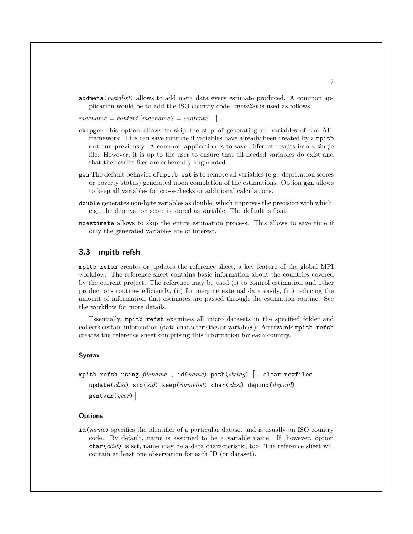addmeta(*metalist*) allows to add meta data every estimate produced. A common application would be to add the ISO country code. *metalist* is used as follows

*macname = content* [*macname2 = content2* ...]

- skipgen this option allows to skip the step of generating all variables of the AFframework. This can save runtime if variables have already been created by a mpitb est run previously. A common application is to save different results into a single file. However, it is up to the user to ensure that all needed variables do exist and that the results files are coherently augmented.
- gen The default behavior of mpitb est is to remove all variables (e.g., deprivation scores or poverty status) generated upon completion of the estimations. Option gen allows to keep all variables for cross-checks or additional calculations.
- double generates non-byte variables as double, which improves the precision with which, e.g., the deprivation score is stored as variable. The default is float.
- noestimate allows to skip the entire estimation process. This allows to save time if only the generated variables are of interest.

#### **3.3 mpitb refsh**

mpitb refsh creates or updates the reference sheet, a key feature of the global MPI workflow. The reference sheet contains basic information about the countries covered by the current project. The reference may be used (i) to control estimation and other productions routines efficiently, (ii) for merging external data easily, (iii) reducing the amount of information that estimates are passed through the estimation routine. See the workflow for more details.

Essentially, mpitb refsh examines all micro datasets in the specified folder and collects certain information (data characteristics or variables). Afterwards mpitb refsh creates the reference sheet comprising this information for each country.

#### **Syntax**

```
mpitb refsh using filename , id(name) path(string)
-

, clear newfiles
  update(clist) sid(sid) keep(namelist) char(clist) depind(depind)
   gentvar(year)
```
#### **Options**

id(*name*) specifies the identifier of a particular dataset and is usually an ISO country code. By default, name is assumed to be a variable name. If, however, option char(*clist*) is set, name may be a data characteristic, too. The reference sheet will contain at least one observation for each ID (or dataset).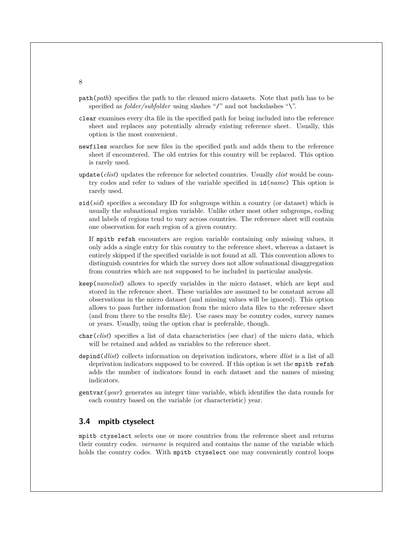- path(*path*) specifies the path to the cleaned micro datasets. Note that path has to be specified as *folder/subfolder* using slashes "/" and not backslashes "\".
- clear examines every dta file in the specified path for being included into the reference sheet and replaces any potentially already existing reference sheet. Usually, this option is the most convenient.
- newfiles searches for new files in the specified path and adds them to the reference sheet if encountered. The old entries for this country will be replaced. This option is rarely used.
- update(*clist*) updates the reference for selected countries. Usually *clist* would be country codes and refer to values of the variable specified in id(*name*) This option is rarely used.
- sid(*sid*) specifies a secondary ID for subgroups within a country (or dataset) which is usually the subnational region variable. Unlike other most other subgroups, coding and labels of regions tend to vary across countries. The reference sheet will contain one observation for each region of a given country.

If mpitb refsh encounters are region variable containing only missing values, it only adds a single entry for this country to the reference sheet, whereas a dataset is entirely skipped if the specified variable is not found at all. This convention allows to distinguish countries for which the survey does not allow subnational disaggregation from countries which are not supposed to be included in particular analysis.

- keep(*namelist*) allows to specify variables in the micro dataset, which are kept and stored in the reference sheet. These variables are assumed to be constant across all observations in the micro dataset (and missing values will be ignored). This option allows to pass further information from the micro data files to the reference sheet (and from there to the results file). Use cases may be country codes, survey names or years. Usually, using the option char is preferable, though.
- char(*clist*) specifies a list of data characteristics (see char) of the micro data, which will be retained and added as variables to the reference sheet.
- depind(*dlist*) collects information on deprivation indicators, where *dlist* is a list of all deprivation indicators supposed to be covered. If this option is set the mpitb refsh adds the number of indicators found in each dataset and the names of missing indicators.
- gentvar(*year*) generates an integer time variable, which identifies the data rounds for each country based on the variable (or characteristic) year.

#### **3.4 mpitb ctyselect**

mpitb ctyselect selects one or more countries from the reference sheet and returns their country codes. *varname* is required and contains the name of the variable which holds the country codes. With mpitb ctyselect one may conveniently control loops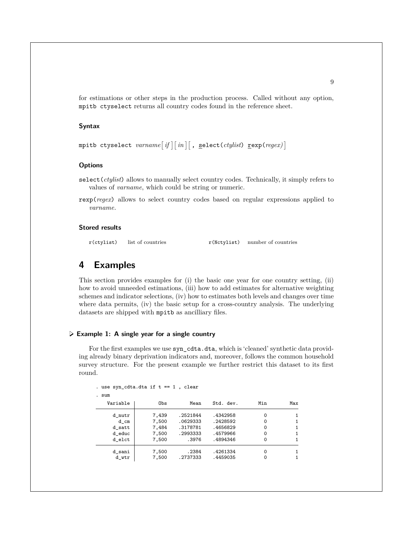for estimations or other steps in the production process. Called without any option, mpitb ctyselect returns all country codes found in the reference sheet.

#### **Syntax**

```
\texttt{mpitb} ctyselect \textit{varname}[\textit{if} \mid \lceil \textit{in} \rceil[ , \texttt{select}(\textit{ctylist}) \texttt{cexp}(\textit{regex})]
```
#### **Options**

- select(*ctylist*) allows to manually select country codes. Technically, it simply refers to values of *varname*, which could be string or numeric.
- rexp(*regex*) allows to select country codes based on regular expressions applied to *varname*.

#### **Stored results**

r(ctylist) list of countries r(Nctylist) number of countries

## **4 Examples**

This section provides examples for (i) the basic one year for one country setting, (ii) how to avoid unneeded estimations, (iii) how to add estimates for alternative weighting schemes and indicator selections, (iv) how to estimates both levels and changes over time where data permits, (iv) the basic setup for a cross-country analysis. The underlying datasets are shipped with mpitb as ancilliary files.

#### **Example 1: A single year for a single country**

For the first examples we use syn\_cdta.dta, which is 'cleaned' synthetic data providing already binary deprivation indicators and, moreover, follows the common household survey structure. For the present example we further restrict this dataset to its first round.

```
. use syn\_cdta.dta if t == 1, clear
```
. sum

| Variable | Obs   | Mean     | Std. dev. | Min | Max |
|----------|-------|----------|-----------|-----|-----|
| d nutr   | 7,439 | .2521844 | .4342958  | 0   |     |
| d cm     | 7,500 | .0629333 | .2428592  | 0   |     |
| d satt   | 7,484 | .3178781 | .4656829  | 0   |     |
| d educ   | 7,500 | .2993333 | .4579966  | 0   |     |
| d elct   | 7,500 | .3976    | .4894346  | 0   |     |
| d sani   | 7,500 | .2384    | .4261334  | 0   |     |
| d wtr    | 7.500 | .2737333 | .4459035  | 0   | 1   |
|          |       |          |           |     |     |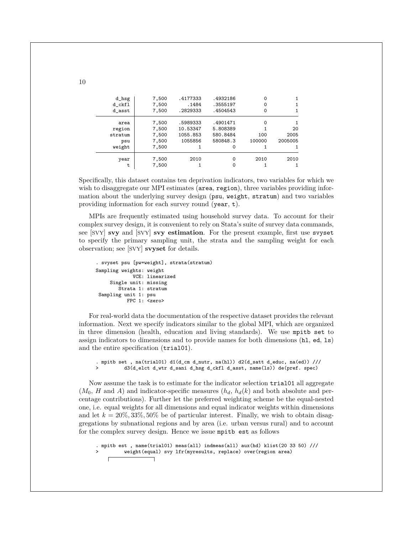| d_hsg<br>d ckfl<br>d asst | 7,500<br>7,500<br>7,500 | .4177333<br>.1484<br>.2829333 | .4932186<br>.3555197<br>.4504543 | 0<br>0 |         |
|---------------------------|-------------------------|-------------------------------|----------------------------------|--------|---------|
|                           |                         |                               |                                  |        |         |
| area                      | 7,500                   | .5989333                      | .4901471                         | 0      | 1.      |
| region                    | 7,500                   | 10.53347                      | 5.808389                         |        | 20      |
| stratum                   | 7,500                   | 1055.853                      | 580.8484                         | 100    | 2005    |
| psu                       | 7,500                   | 1055856                       | 580848.3                         | 100000 | 2005005 |
| weight                    | 7,500                   |                               | 0                                |        |         |
| year                      | 7,500                   | 2010                          | $\Omega$                         | 2010   | 2010    |
| t                         | 7,500                   |                               |                                  |        |         |

Specifically, this dataset contains ten deprivation indicators, two variables for which we wish to disaggregate our MPI estimates (area, region), three variables providing information about the underlying survey design (psu, weight, stratum) and two variables providing information for each survey round (year, t).

MPIs are frequently estimated using household survey data. To account for their complex survey design, it is convenient to rely on Stata's suite of survey data commands, see [SVY] **svy** and [SVY] **svy estimation**. For the present example, first use svyset to specify the primary sampling unit, the strata and the sampling weight for each observation; see [SVY] **svyset** for details.

```
. svyset psu [pw=weight], strata(stratum)
Sampling weights: weight
             VCE: linearized
     Single unit: missing
       Strata 1: stratum
Sampling unit 1: psu
           FPC 1: <zero>
```
For real-world data the documentation of the respective dataset provides the relevant information. Next we specify indicators similar to the global MPI, which are organized in three dimension (health, education and living standards). We use mpitb set to assign indicators to dimensions and to provide names for both dimensions (hl, ed, ls) and the entire specification (trial01).

```
. mpitb set , na(trial01) d1(d_cm d_nutr, na(hl)) d2(d_satt d_educ, na(ed)) ///
> d3(d_elct d_wtr d_sani d_hsg d_ckfl d_asst, name(ls)) de(pref. spec)
```
Now assume the task is to estimate for the indicator selection trial01 all aggregate  $(M_0, H \text{ and } A)$  and indicator-specific measures  $(h_d, h_d(k)$  and both absolute and percentage contributions). Further let the preferred weighting scheme be the equal-nested one, i.e. equal weights for all dimensions and equal indicator weights within dimensions and let  $k = 20\%, 33\%, 50\%$  be of particular interest. Finally, we wish to obtain disaggregations by subnational regions and by area (i.e. urban versus rural) and to account for the complex survey design. Hence we issue mpitb est as follows

. mpitb est , name(trial01) meas(all) indmeas(all) aux(hd) klist(20 33 50) /// > weight(equal) svy lfr(myresults, replace) over(region area)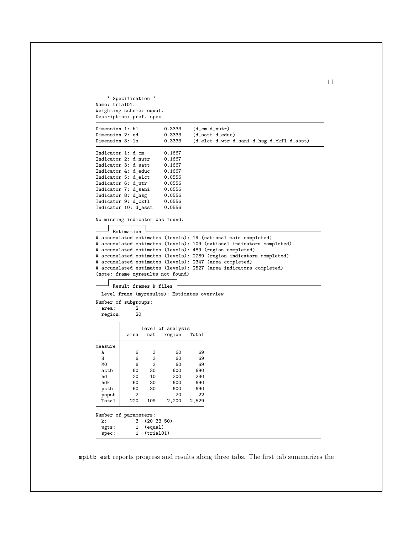```
\overline{\phantom{a}} Specification \overline{\phantom{a}}Name: trial01.
Weighting scheme: equal.
Description: pref. spec
Dimension 1: hl 0.3333 (d_cm d_nutr)
Dimension 2: ed 0.3333 (d_satt d_educ)<br>Dimension 3: 1s 0.3333 (d_elct d_wtr d
                                  (d_elct d_wtr d_sani d_hsg d_ckfl d_asst)
Indicator 1: d_cm 0.1667<br>Indicator 2: d_nutr 0.1667
Indicator 2: d_nutr
Indicator 3: d_satt 0.1667<br>Indicator 4: d_educ 0.1667
Indicator 4: d_educ
Indicator 5: d_elct 0.0556
Indicator 6: d_wtr 0.0556
Indicator 7: d_sani 0.0556<br>Indicator 8: d_hsg 0.0556
Indicator 8: d_hsg 0.0556<br>Indicator 9: d_ckfl 0.0556
Indicator 9: d_ckfl
Indicator 10: d_asst 0.0556
No missing indicator was found.
     Estimation
# accumulated estimates (levels): 19 (national main completed)
# accumulated estimates (levels): 109 (national indicators completed)
# accumulated estimates (levels): 489 (region completed)
# accumulated estimates (levels): 2289 (region indicators completed)
# accumulated estimates (levels): 2347 (area completed)
# accumulated estimates (levels): 2527 (area indicators completed)
(note: frame myresults not found)
     Result frames & files
  Level frame (myresults): Estimates overview
Number of subgroups:
 area: 2<br>region: 20
 region:
                level of analysis
           area nat region Total
\begin{array}{c} \mathtt{measure} \\ \mathtt{A} \end{array}A | 6 3 60 69
  H 6 3 60 69
  M0 6 3 60 69
  actb 60 30 600 690
  hd 20 10 200 230
  hdk 60 30 600 690
 pctb 60 30 600 690
  popsh 2 20 22
  Total 220 109 2,200
Number of parameters:
 k: 3 (20 33 50)
  wgts: 1 (equal)
  spec: 1 (trial01)
```
mpitb est reports progress and results along three tabs. The first tab summarizes the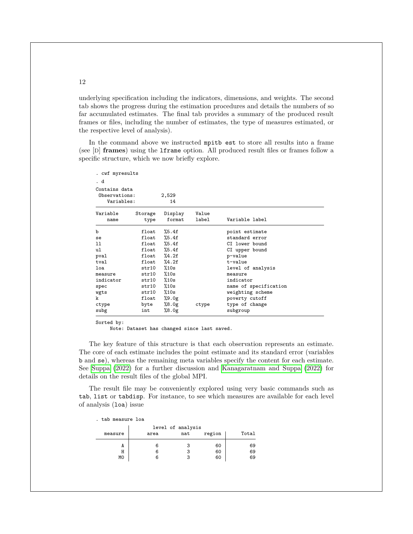underlying specification including the indicators, dimensions, and weights. The second tab shows the progress during the estimation procedures and details the numbers of so far accumulated estimates. The final tab provides a summary of the produced result frames or files, including the number of estimates, the type of measures estimated, or the respective level of analysis).

In the command above we instructed mpitb est to store all results into a frame (see [D] **frames**) using the lframe option. All produced result files or frames follow a specific structure, which we now briefly explore.

| . cwf myresults                              |                 |                   |                |                       |
|----------------------------------------------|-----------------|-------------------|----------------|-----------------------|
| . d                                          |                 |                   |                |                       |
| Contains data<br>Observations:<br>Variables: |                 | 2,529<br>14       |                |                       |
| Variable<br>name                             | Storage<br>type | Display<br>format | Value<br>label | Variable label        |
| b                                            | float           | $\%5.4f$          |                | point estimate        |
| se                                           | $_{\tt float}$  | $\%5.4f$          |                | standard error        |
| 11                                           | float           | %5.4f             |                | CI lower bound        |
| ul                                           | float           | %5.4f             |                | CI upper bound        |
| pval                                         | float           | %4.2f             |                | p-value               |
| tval                                         | $_{\tt float}$  | $\frac{9}{4}$ .2f |                | t-value               |
| loa                                          | str10           | %10s              |                | level of analysis     |
| measure                                      | str10           | %10s              |                | measure               |
| indicator                                    | str10           | %10s              |                | indicator             |
| spec                                         | str10           | %10s              |                | name of specification |
| wgts                                         | str10           | %10s              |                | weighting scheme      |
| k                                            | float           | %9.0g             |                | poverty cutoff        |
| ctype                                        | byte            | %8.0g             | ctype          | type of change        |
| subg                                         | int             | %8.0g             |                | subgroup              |

Sorted by:

Note: Dataset has changed since last saved.

The key feature of this structure is that each observation represents an estimate. The core of each estimate includes the point estimate and its standard error (variables b and se), whereas the remaining meta variables specify the content for each estimate. See [Suppa \(2022\)](#page-21-6) for a further discussion and [Kanagaratnam and Suppa \(2022\)](#page-21-9) for details on the result files of the global MPI.

The result file may be conveniently explored using very basic commands such as tab, list or tabdisp. For instance, to see which measures are available for each level of analysis (loa) issue

. tab measure loa

| area | nat | region | Total             |
|------|-----|--------|-------------------|
|      |     | 60     | 69                |
|      |     | 60     | 69                |
|      |     | 60     | 69                |
|      |     |        | level of analysis |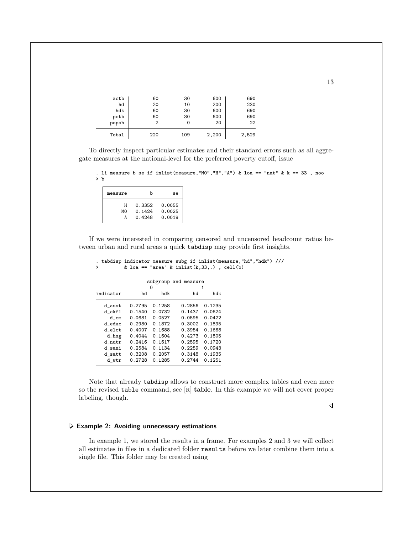| actb  | 60  | 30  | 600   | 690   |
|-------|-----|-----|-------|-------|
| hd    | 20  | 10  | 200   | 230   |
| hdk   | 60  | 30  | 600   | 690   |
| pctb  | 60  | 30  | 600   | 690   |
| popsh | 2   | 0   | 20    | 22    |
| Total | 220 | 109 | 2,200 | 2,529 |

To directly inspect particular estimates and their standard errors such as all aggregate measures at the national-level for the preferred poverty cutoff, issue

. li measure b se if inlist(measure, "MO", "H", "A") & loa == "nat" &  $k = 33$ , noo > b

| measure | b                | se               |
|---------|------------------|------------------|
| н<br>MΩ | 0.3352<br>0.1424 | 0.0055<br>0.0025 |
|         | 0.4248           | 0.0019           |

If we were interested in comparing censored and uncensored headcount ratios between urban and rural areas a quick tabdisp may provide first insights.

|           |        |        | subgroup and measure | 1      |
|-----------|--------|--------|----------------------|--------|
| indicator | hd     | hdk    | hd                   | hdk    |
| d asst    | 0.2795 | 0.1258 | 0.2856               | 0.1235 |
| d ckfl    | 0.1540 | 0.0732 | 0.1437               | 0.0624 |
| d cm      | 0.0681 | 0.0527 | 0.0595               | 0.0422 |
| d educ    | 0.2980 | 0.1872 | 0.3002               | 0.1895 |
| d elct    | 0.4007 | 0.1688 | 0.3954               | 0.1668 |
| d_hsg     | 0.4044 | 0.1604 | 0.4273               | 0.1805 |
| d nutr    | 0.2416 | 0.1617 | 0.2595               | 0.1720 |
| d sani    | 0.2584 | 0.1134 | 0.2259               | 0.0943 |
| d satt    | 0.3208 | 0.2057 | 0.3148               | 0.1935 |
| d wtr     | 0.2728 | 0.1285 | 0.2744               | 0.1251 |

. tabdisp indicator measure subg if inlist(measure,"hd","hdk") ///<br>>  $\&$  loa == "area"  $\&$  inlist(k,33,.), cell(b) & loa == "area" & inlist $(k,33,.)$ , cell $(b)$ 

Note that already tabdisp allows to construct more complex tables and even more so the revised table command, see [R] **table**. In this example we will not cover proper labeling, though.

 $\triangleleft$ 

#### **Example 2: Avoiding unnecessary estimations**

In example 1, we stored the results in a frame. For examples 2 and 3 we will collect all estimates in files in a dedicated folder results before we later combine them into a single file. This folder may be created using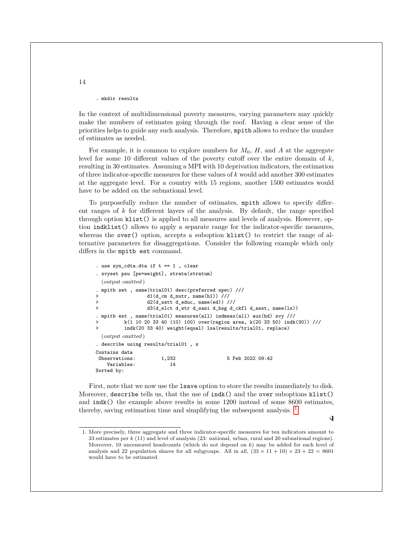. mkdir results

In the context of multidimensional poverty measures, varying parameters may quickly make the numbers of estimates going through the roof. Having a clear sense of the priorities helps to guide any such analysis. Therefore, mpitb allows to reduce the number of estimates as needed.

For example, it is common to explore numbers for  $M_0$ ,  $H$ , and  $A$  at the aggregate level for some 10 different values of the poverty cutoff over the entire domain of  $k$ , resulting in 30 estimates. Assuming a MPI with 10 deprivation indicators, the estimation of three indicator-specific measures for these values of  $k$  would add another 300 estimates at the aggregate level. For a country with 15 regions, another 1500 estimates would have to be added on the subnational level.

To purposefully reduce the number of estimates, mpitb allows to specify different ranges of  $k$  for different layers of the analysis. By default, the range specified through option klist() is applied to all measures and levels of analysis. However, option indklist() allows to apply a separate range for the indicator-specific measures, whereas the over () option, accepts a suboption klist () to restrict the range of alternative parameters for disaggregations. Consider the following example which only differs in the mpitb est command.

```
. use syn_cdta.dta if t == 1 , clear
. svyset psu [pw=weight], strata(stratum)
 (output omitted )
. mpitb set , name(trial01) desc(preferred spec) ///
> d1(d_cm d_nutr, name(hl)) ///
> d2(d_satt d_educ, name(ed)) ///
> d3(d_elct d_wtr d_sani d_hsg d_ckfl d_asst, name(ls))
. mpitb est , name(trial01) measures(all) indmeas(all) aux(hd) svy ///
        > k(1 10 20 33 40 (10) 100) over(region area, k(20 33 50) indk(30)) ///
         indk(20 33 40) weight(equal) lsa(results/trial01, replace)
 (output omitted )
. describe using results/trial01 , s
Contains data
Observations: 1,232 5 Feb 2022 09:42
   Variables: 14
Sorted by:
```
First, note that we now use the lsave option to store the results immediately to disk. Moreover, describe tells us, that the use of indk() and the over suboptions klist() and indk() the example above results in some 1200 instead of some 8600 estimates, thereby, saving estimation time and simplifying the subsequent analysis.  $<sup>1</sup>$  $<sup>1</sup>$  $<sup>1</sup>$ </sup>

◁

<span id="page-14-0"></span><sup>1</sup>. More precisely, three aggregate and three indicator-specific measures for ten indicators amount to 33 estimates per k (11) and level of analysis (23: national, urban, rural and 20 subnational regions). Moreover, 10 uncensored headcounts (which do not depend on  $k$ ) may be added for each level of analysis and 22 population shares for all subgroups. All in all,  $(33 \times 11 + 10) \times 23 + 22 = 8601$ would have to be estimated.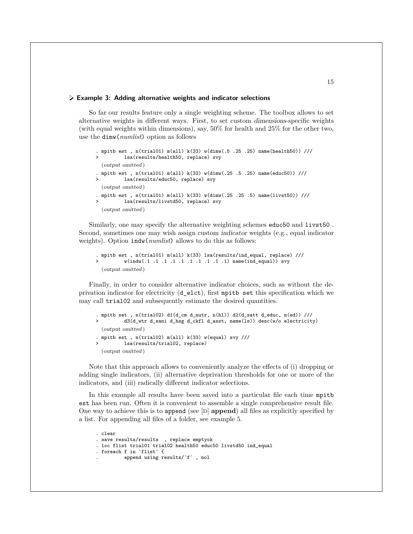#### **Example 3: Adding alternative weights and indicator selections**

So far our results feature only a single weighting scheme. The toolbox allows to set alternative weights in different ways. First, to set custom dimensions-specific weights (with equal weights within dimensions), say, 50% for health and 25% for the other two, use the dimw(*numlist*) option as follows

```
. mpitb est , n(trial01) m(all) k(33) w(dimw(.5 .25 .25) name(health50)) ///
> lsa(results/health50, replace) svy
  (output omitted )
. mpitb est , n(trial01) m(all) k(33) w(dimw(.25 .5 .25) name(educ50)) ///
         lsa(results/educ50, replace) svy
 (output omitted )
. mpitb est , n(trial01) m(all) k(33) w(dimw(.25 .25 .5) name(livst50)) ///
         lsa(results/livstd50, replace) svy
  (output omitted )
```
Similarly, one may specify the alternative weighting schemes educ50 and livst50 . Second, sometimes one may wish assign custom indicator weights (e.g., equal indicator weights). Option indw(*numlist*) allows to do this as follows:

```
. mpitb est , n(trial01) m(all) k(33) lsa(results/ind_equal, replace) ///
> w(indw(.1 .1 .1 .1 .1 .1 .1 .1 .1 .1) name(ind_equal)) svy
 (output omitted )
```
Finally, in order to consider alternative indicator choices, such as without the deprivation indicator for electricity (d\_elct), first mpitb set this specification which we may call trial02 and subsequently estimate the desired quantities.

```
. mpitb set , n(trial02) d1(d_cm d_nutr, n(hl)) d2(d_satt d_educ, n(ed)) ///
> d3(d_wtr d_sani d_hsg d_ckfl d_asst, name(ls)) desc(w/o electricity)
  (output omitted )
. mpitb est, n(\text{trial}02) m(\text{all}) k(33) w(\text{equal}) svy ///
> lsa(results/trial02, replace)
  (output omitted )
```
Note that this approach allows to conveniently analyze the effects of (i) dropping or adding single indicators, (ii) alternative deprivation thresholds for one or more of the indicators, and (iii) radically different indicator selections.

In this example all results have been saved into a particular file each time mpitb est has been run. Often it is convenient to assemble a single comprehensive result file. One way to achieve this is to append (see [D] **append**) all files as explicitly specified by a list. For appending all files of a folder, see example 5.

```
. clear
. save results/results , replace emptyok
. loc flist trial01 trial02 health50 educ50 livstd50 ind_equal
. foreach f in  ̀flist ́ {
          . append using results/ ̀f ́ , nol
```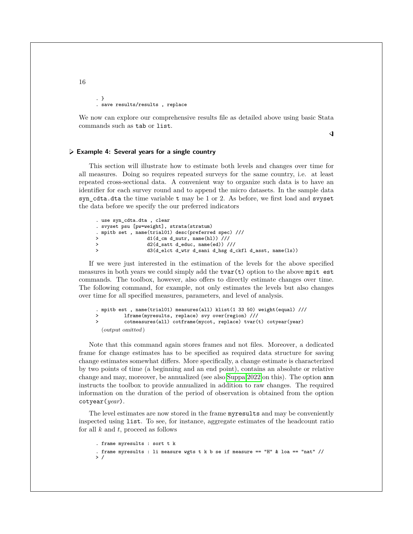. } . save results/results , replace

We now can explore our comprehensive results file as detailed above using basic Stata commands such as tab or list.

 $\triangleleft$ 

**Example 4: Several years for a single country**

This section will illustrate how to estimate both levels and changes over time for all measures. Doing so requires repeated surveys for the same country, i.e. at least repeated cross-sectional data. A convenient way to organize such data is to have an identifier for each survey round and to append the micro datasets. In the sample data syn\_cdta.dta the time variable t may be 1 or 2. As before, we first load and svyset the data before we specify the our preferred indicators

. use syn\_cdta.dta , clear . svyset psu [pw=weight], strata(stratum) . mpitb set , name(trial01) desc(preferred spec) /// > d1(d\_cm d\_nutr, name(hl)) ///<br>> d2(d\_satt\_d\_educ\_\_name(ed)) / > d2(d\_satt d\_educ, name(ed)) /// > d3(d\_elct d\_wtr d\_sani d\_hsg d\_ckfl d\_asst, name(ls))

If we were just interested in the estimation of the levels for the above specified measures in both years we could simply add the  $\text{tvar}(t)$  option to the above mpit est commands. The toolbox, however, also offers to directly estimate changes over time. The following command, for example, not only estimates the levels but also changes over time for all specified measures, parameters, and level of analysis.

```
. mpitb est , name(trial01) measures(all) klist(1 33 50) weight(equal) ///
> lframe(myresults, replace) svy over(region) ///
> cotmeasures(all) cotframe(mycot, replace) tvar(t) cotyear(year)
  (output omitted )
```
Note that this command again stores frames and not files. Moreover, a dedicated frame for change estimates has to be specified as required data structure for saving change estimates somewhat differs. More specifically, a change estimate is characterized by two points of time (a beginning and an end point), contains an absolute or relative change and may, moreover, be annualized (see also [Suppa 2022](#page-21-6) on this). The option ann instructs the toolbox to provide annualized in addition to raw changes. The required information on the duration of the period of observation is obtained from the option cotyear(*year*).

The level estimates are now stored in the frame myresults and may be conveniently inspected using list. To see, for instance, aggregate estimates of the headcount ratio for all  $k$  and  $t$ , proceed as follows

```
. frame myresults : sort t k
. frame myresults : li measure wgts t k b se if measure == "H" & loa == "nat" \frac{1}{2}> /
```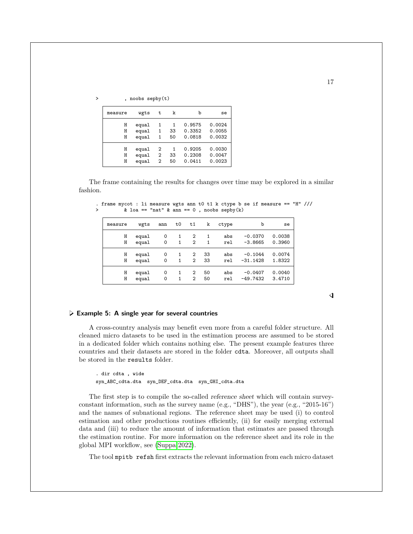|  |  | , noobs sepby(t) |
|--|--|------------------|
|--|--|------------------|

| measure | wgts  | t              | k  | b      | se     |
|---------|-------|----------------|----|--------|--------|
| Н       | equal | 1              | 1  | 0.9575 | 0.0024 |
| Н       | equal | 1              | 33 | 0.3352 | 0.0055 |
| Н       | equal | 1              | 50 | 0.0818 | 0.0032 |
| Н       | equal | 2              | 1  | 0.9205 | 0.0030 |
| Н       | equal | 2              | 33 | 0.2308 | 0.0047 |
| н       | equal | $\overline{2}$ | 50 | 0.0411 | 0.0023 |

The frame containing the results for changes over time may be explored in a similar fashion.

|  |  |                                           |  |  |  |  |  | . frame mycot : li measure wgts ann t0 t1 k ctype b se if measure == "H" /// |  |  |
|--|--|-------------------------------------------|--|--|--|--|--|------------------------------------------------------------------------------|--|--|
|  |  | & loa == "nat" & ann == 0, noobs sepby(k) |  |  |  |  |  |                                                                              |  |  |

| measure | wgts  | ann         | t0 | t1           | k  | ctype | b          | se     |
|---------|-------|-------------|----|--------------|----|-------|------------|--------|
| Н       | equal | 0           | 1  | 2            | 1  | abs   | $-0.0370$  | 0.0038 |
| Η       | equal | 0           | 1  | $\mathbf{2}$ | 1  | rel   | $-3.8665$  | 0.3960 |
| Н       | equal | 0           | 1  | 2            | 33 | abs   | $-0.1044$  | 0.0074 |
| Η       | equal | $\mathbf 0$ | 1  | 2            | 33 | rel   | $-31.1428$ | 1.8322 |
| Н       | equal | 0           | 1  | 2            | 50 | abs   | $-0.0407$  | 0.0040 |
| Н       | equal | 0           | 1  | 2            | 50 | rel   | $-49.7432$ | 3.4710 |

◁

#### **Example 5: A single year for several countries**

A cross-country analysis may benefit even more from a careful folder structure. All cleaned micro datasets to be used in the estimation process are assumed to be stored in a dedicated folder which contains nothing else. The present example features three countries and their datasets are stored in the folder cdta. Moreover, all outputs shall be stored in the results folder.

```
. dir cdta , wide
syn_ABC_cdta.dta syn_DEF_cdta.dta syn_GHI_cdta.dta
```
The first step is to compile the so-called reference sheet which will contain surveyconstant information, such as the survey name (e.g., "DHS"), the year (e.g., "2015-16") and the names of subnational regions. The reference sheet may be used (i) to control estimation and other productions routines efficiently, (ii) for easily merging external data and (iii) to reduce the amount of information that estimates are passed through the estimation routine. For more information on the reference sheet and its role in the global MPI workflow, see [\(Suppa 2022\)](#page-21-6).

The tool mpitb refsh first extracts the relevant information from each micro dataset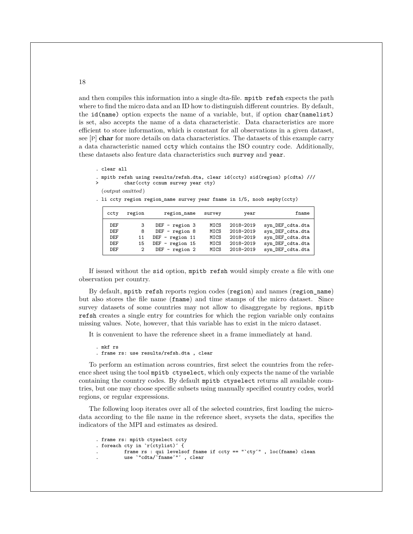and then compiles this information into a single dta-file. mpitb refsh expects the path where to find the micro data and an ID how to distinguish different countries. By default, the id(name) option expects the name of a variable, but, if option char(namelist) is set, also accepts the name of a data characteristic. Data characteristics are more efficient to store information, which is constant for all observations in a given dataset, see [P] **char** for more details on data characteristics. The datasets of this example carry a data characteristic named ccty which contains the ISO country code. Additionally, these datasets also feature data characteristics such survey and year.

- . clear all
- . mpitb refsh using results/refsh.dta, clear id(ccty) sid(region) p(cdta) /// > char(ccty ccnum survey year cty)
	- (output omitted )
- . li ccty region region\_name survey year fname in 1/5, noob sepby(ccty)

| ccty | region | region_name       | survey | year      | fname            |
|------|--------|-------------------|--------|-----------|------------------|
| DEF  | 3      | $DEF$ - region 3  | MICS   | 2018-2019 | syn_DEF_cdta.dta |
| DEF  | 8      | DEF $-$ region 8  | MICS   | 2018-2019 | syn_DEF_cdta.dta |
| DEF  | 11     | $DEF$ - region 11 | MICS   | 2018-2019 | syn_DEF_cdta.dta |
| DEF  | 15     | $DEF$ - region 15 | MICS   | 2018-2019 | syn_DEF_cdta.dta |
| DEF  | 2      | $DEF$ - region 2  | MICS   | 2018-2019 | syn_DEF_cdta.dta |

If issued without the sid option, mpitb refsh would simply create a file with one observation per country.

By default, mpitb refsh reports region codes (region) and names (region\_name) but also stores the file name (fname) and time stamps of the micro dataset. Since survey datasets of some countries may not allow to disaggregate by regions, mpitb refsh creates a single entry for countries for which the region variable only contains missing values. Note, however, that this variable has to exist in the micro dataset.

It is convenient to have the reference sheet in a frame immediately at hand.

```
. mkf rs
. frame rs: use results/refsh.dta , clear
```
To perform an estimation across countries, first select the countries from the reference sheet using the tool mpitb ctyselect, which only expects the name of the variable containing the country codes. By default mpitb ctyselect returns all available countries, but one may choose specific subsets using manually specified country codes, world regions, or regular expressions.

The following loop iterates over all of the selected countries, first loading the microdata according to the file name in the reference sheet, svysets the data, specifies the indicators of the MPI and estimates as desired.

```
. frame rs: mpitb ctyselect ccty
. foreach cty in  ̀r(ctylist) ́ {
          . frame rs : qui levelsof fname if ccty == " ̀cty ́" , loc(fname) clean
          . use  ̀"cdta/ ̀fname ́" ́ , clear
```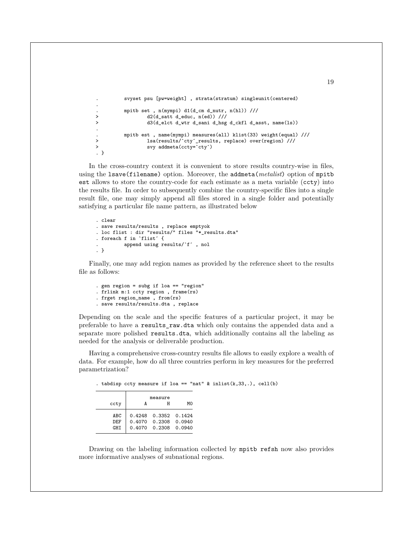```
. svyset psu [pw=weight] , strata(stratum) singleunit(centered)
. mpitb set , n(mympi) d1(d_cm d_nutr, n(hl)) ///
> d2(d_satt d_educ, n(ed)) ///
> d3(d_elct d_wtr d_sani d_hsg d_ckfl d_asst, name(ls))
. mpitb est , name(mympi) measures(all) klist(33) weight(equal) ///<br>> lsa(results/`ctv´ results, replace) over(region) ///
                  > lsa(results/ ̀cty ́_results, replace) over(region) ///
> svy addmeta(ccty= ̀cty ́)
. }
```
In the cross-country context it is convenient to store results country-wise in files, using the lsave(filename) option. Moreover, the addmeta(*metalist*) option of mpitb est allows to store the country-code for each estimate as a meta variable (ccty) into the results file. In order to subsequently combine the country-specific files into a single result file, one may simply append all files stored in a single folder and potentially satisfying a particular file name pattern, as illustrated below

```
. clear
. save results/results , replace emptyok
. loc flist : dir "results/" files "*_results.dta"
. foreach f in  ̀flist ́ {
          . append using results/ ̀f ́ , nol
. }
```
Finally, one may add region names as provided by the reference sheet to the results file as follows:

```
. gen region = subg if loa == "region"
. frlink m:1 ccty region , frame(rs)
. frget region_name , from(rs)
. save results/results.dta , replace
```
.

.

Depending on the scale and the specific features of a particular project, it may be preferable to have a results\_raw.dta which only contains the appended data and a separate more polished results.dta, which additionally contains all the labeling as needed for the analysis or deliverable production.

Having a comprehensive cross-country results file allows to easily explore a wealth of data. For example, how do all three countries perform in key measures for the preferred parametrization?

|  |  |  |  |  |  |  |  |  | . tabdisp ccty measure if loa == "nat" & inlist $(k, 33, .)$ , cell $(b)$ |  |
|--|--|--|--|--|--|--|--|--|---------------------------------------------------------------------------|--|
|--|--|--|--|--|--|--|--|--|---------------------------------------------------------------------------|--|

| ccty                     | A | measure<br>н                                                               | MΩ |
|--------------------------|---|----------------------------------------------------------------------------|----|
| ABC<br>DEF<br><b>GHT</b> |   | $0.4248$ $0.3352$ $0.1424$<br>0.4070 0.2308 0.0940<br>0.4070 0.2308 0.0940 |    |

Drawing on the labeling information collected by mpitb refsh now also provides more informative analyses of subnational regions.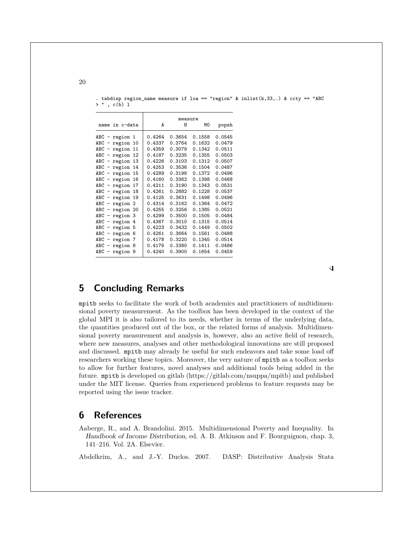|                                 |                    |        | measure |        |        |  |  |
|---------------------------------|--------------------|--------|---------|--------|--------|--|--|
|                                 | name in c-data     |        | A<br>Н  | МO     | popsh  |  |  |
|                                 |                    |        |         |        |        |  |  |
|                                 | ABC - region 1     | 0.4264 | 0.3654  | 0.1558 | 0.0545 |  |  |
| $ABC -$                         | region 10          | 0.4337 | 0.3764  | 0.1632 | 0.0479 |  |  |
| $ABC -$                         | region<br>11       | 0.4359 | 0.3079  | 0.1342 | 0.0511 |  |  |
| ABC<br>$\qquad \qquad -$        | region 12          | 0.4187 | 0.3235  | 0.1355 | 0.0503 |  |  |
| $ABC -$                         | region<br>13       | 0.4226 | 0.3103  | 0.1312 | 0.0507 |  |  |
| ABC<br>$\qquad \qquad -$        | region<br>14       | 0.4253 | 0.3536  | 0.1504 | 0.0487 |  |  |
|                                 | ABC - region<br>15 | 0.4289 | 0.3198  | 0.1372 | 0.0496 |  |  |
| ABC<br>$\overline{\phantom{a}}$ | region<br>16       | 0.4160 | 0.3362  | 0.1398 | 0.0468 |  |  |
| ABC<br>$\overline{\phantom{0}}$ | region 17          | 0.4211 | 0.3190  | 0.1343 | 0.0531 |  |  |
| ABC -                           | region<br>18       | 0.4261 | 0.2882  | 0.1228 | 0.0537 |  |  |
| ABC<br>$\qquad \qquad -$        | region 19          | 0.4125 | 0.3631  | 0.1498 | 0.0496 |  |  |
| $ABC -$                         | region 2           | 0.4314 | 0.3162  | 0.1364 | 0.0472 |  |  |
| ABC<br>$\overline{\phantom{a}}$ | region 20          | 0.4255 | 0.3256  | 0.1385 | 0.0521 |  |  |
| ABC<br>$\overline{\phantom{m}}$ | region 3           | 0.4299 | 0.3500  | 0.1505 | 0.0484 |  |  |
| ABC<br>$\overline{\phantom{0}}$ | region 4           | 0.4367 | 0.3010  | 0.1315 | 0.0514 |  |  |
| ABC<br>$\overline{\phantom{0}}$ | region 5           | 0.4223 | 0.3432  | 0.1449 | 0.0502 |  |  |
| ABC<br>$\qquad \qquad -$        | region 6           | 0.4261 | 0.3664  | 0.1561 | 0.0488 |  |  |
| ABC<br>$\qquad \qquad -$        | region 7           | 0.4178 | 0.3220  | 0.1345 | 0.0514 |  |  |
| ABC<br>$\overline{\phantom{a}}$ | region 8           | 0.4176 | 0.3380  | 0.1411 | 0.0486 |  |  |
| ABC<br>$\overline{\phantom{0}}$ | region 9           | 0.4240 | 0.3900  | 0.1654 | 0.0459 |  |  |

. tabdisp region\_name measure if loa == "region" & inlist(k,33,.) & ccty == "ABC > " , c(b) l

## **5 Concluding Remarks**

mpitb seeks to facilitate the work of both academics and practitioners of multidimensional poverty measurement. As the toolbox has been developed in the context of the global MPI it is also tailored to its needs, whether in terms of the underlying data, the quantities produced out of the box, or the related forms of analysis. Multidimensional poverty measurement and analysis is, however, also an active field of research, where new measures, analyses and other methodological innovations are still proposed and discussed. mpitb may already be useful for such endeavors and take some load off researchers working these topics. Moreover, the very nature of mpitb as a toolbox seeks to allow for further features, novel analyses and additional tools being added in the future. mpitb is developed on gitlab (https://gitlab.com/nsuppa/mpitb) and published under the MIT license. Queries from experienced problems to feature requests may be reported using the issue tracker.

## **6 References**

<span id="page-20-0"></span>Aaberge, R., and A. Brandolini. 2015. Multidimensional Poverty and Inequality. In Handbook of Income Distribution, ed. A. B. Atkinson and F. Bourguignon, chap. 3, 141–216. Vol. 2A. Elsevier.

<span id="page-20-1"></span>Abdelkrim, A., and J.-Y. Duclos. 2007. DASP: Distributive Analysis Stata

 $\triangleleft$